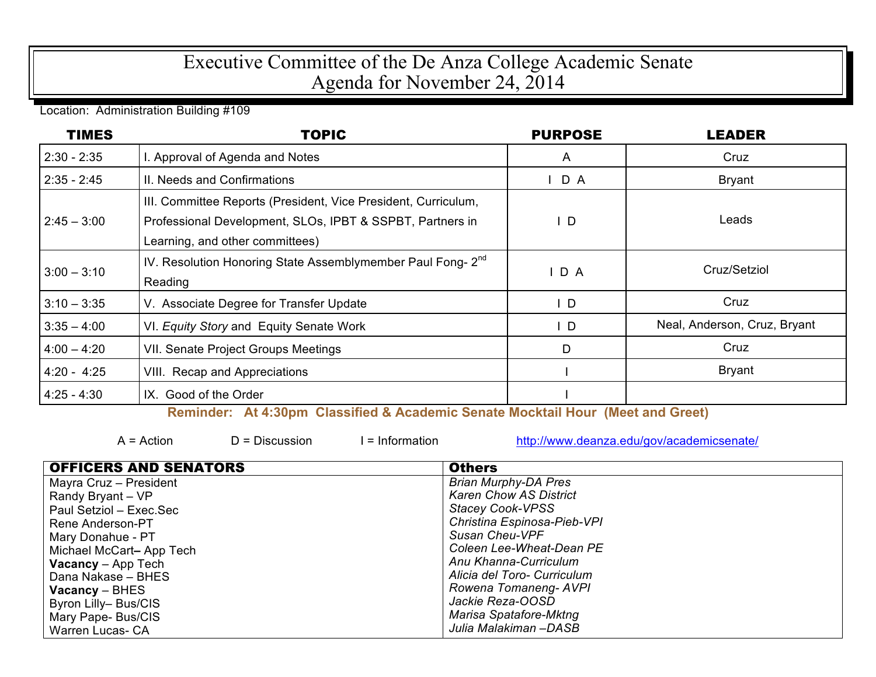## Executive Committee of the De Anza College Academic Senate Agenda for November 24, 2014

Location: Administration Building #109

| <b>TIMES</b>  | <b>TOPIC</b>                                                                                                                                                   | <b>PURPOSE</b> | LEADER                       |
|---------------|----------------------------------------------------------------------------------------------------------------------------------------------------------------|----------------|------------------------------|
| $2:30 - 2:35$ | I. Approval of Agenda and Notes                                                                                                                                | $\mathsf{A}$   | Cruz                         |
| $2:35 - 2:45$ | II. Needs and Confirmations                                                                                                                                    | $I$ D A        | <b>Bryant</b>                |
| $2:45 - 3:00$ | III. Committee Reports (President, Vice President, Curriculum,<br>Professional Development, SLOs, IPBT & SSPBT, Partners in<br>Learning, and other committees) | D              | Leads                        |
| $3:00 - 3:10$ | IV. Resolution Honoring State Assemblymember Paul Fong- 2 <sup>nd</sup><br>Reading                                                                             | IDA            | Cruz/Setziol                 |
| $3:10 - 3:35$ | V. Associate Degree for Transfer Update                                                                                                                        | D              | Cruz                         |
| $3:35 - 4:00$ | VI. Equity Story and Equity Senate Work                                                                                                                        | D              | Neal, Anderson, Cruz, Bryant |
| $4:00 - 4:20$ | VII. Senate Project Groups Meetings                                                                                                                            | D              | Cruz                         |
| $4:20 - 4:25$ | VIII. Recap and Appreciations                                                                                                                                  |                | <b>Bryant</b>                |
| $4:25 - 4:30$ | IX. Good of the Order                                                                                                                                          |                |                              |

**Reminder: At 4:30pm Classified & Academic Senate Mocktail Hour (Meet and Greet)**

 $A = Action$   $D = Discussion$   $I = Information$   $http://www.deanza.edu/gov/academicsenate/$ 

| <b>OFFICERS AND SENATORS</b> | <b>Others</b>                 |
|------------------------------|-------------------------------|
| Mayra Cruz - President       | <b>Brian Murphy-DA Pres</b>   |
| Randy Bryant - VP            | <b>Karen Chow AS District</b> |
| Paul Setziol – Exec.Sec      | <b>Stacey Cook-VPSS</b>       |
| Rene Anderson-PT             | Christina Espinosa-Pieb-VPI   |
| Mary Donahue - PT            | Susan Cheu-VPF                |
| Michael McCart- App Tech     | Coleen Lee-Wheat-Dean PE      |
| <b>Vacancy</b> – App Tech    | Anu Khanna-Curriculum         |
| Dana Nakase – BHES           | Alicia del Toro- Curriculum   |
| $\sqrt{2}$ Vacancy – BHES    | Rowena Tomaneng-AVPI          |
| Byron Lilly-Bus/CIS          | Jackie Reza-OOSD              |
| Mary Pape- Bus/CIS           | Marisa Spatafore-Mktng        |
| Warren Lucas- CA             | Julia Malakiman –DASB         |